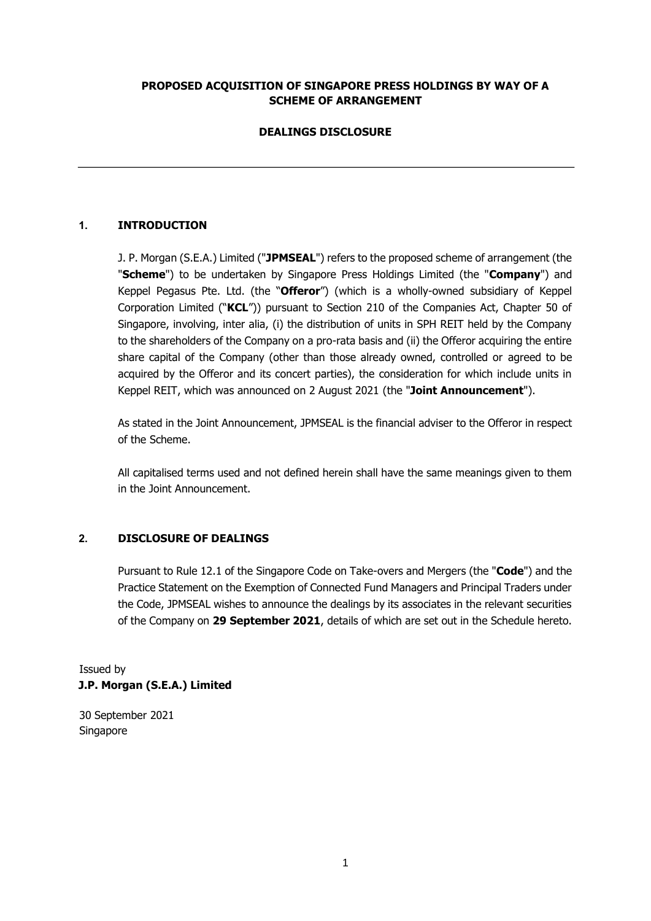#### **PROPOSED ACQUISITION OF SINGAPORE PRESS HOLDINGS BY WAY OF A SCHEME OF ARRANGEMENT**

# **DEALINGS DISCLOSURE**

# **1. INTRODUCTION**

J. P. Morgan (S.E.A.) Limited ("**JPMSEAL**") refers to the proposed scheme of arrangement (the "**Scheme**") to be undertaken by Singapore Press Holdings Limited (the "**Company**") and Keppel Pegasus Pte. Ltd. (the "**Offeror**") (which is a wholly-owned subsidiary of Keppel Corporation Limited ("**KCL**")) pursuant to Section 210 of the Companies Act, Chapter 50 of Singapore, involving, inter alia, (i) the distribution of units in SPH REIT held by the Company to the shareholders of the Company on a pro-rata basis and (ii) the Offeror acquiring the entire share capital of the Company (other than those already owned, controlled or agreed to be acquired by the Offeror and its concert parties), the consideration for which include units in Keppel REIT, which was announced on 2 August 2021 (the "**Joint Announcement**").

As stated in the Joint Announcement, JPMSEAL is the financial adviser to the Offeror in respect of the Scheme.

All capitalised terms used and not defined herein shall have the same meanings given to them in the Joint Announcement.

#### **2. DISCLOSURE OF DEALINGS**

Pursuant to Rule 12.1 of the Singapore Code on Take-overs and Mergers (the "**Code**") and the Practice Statement on the Exemption of Connected Fund Managers and Principal Traders under the Code, JPMSEAL wishes to announce the dealings by its associates in the relevant securities of the Company on **29 September 2021**, details of which are set out in the Schedule hereto.

Issued by **J.P. Morgan (S.E.A.) Limited** 

30 September 2021 Singapore